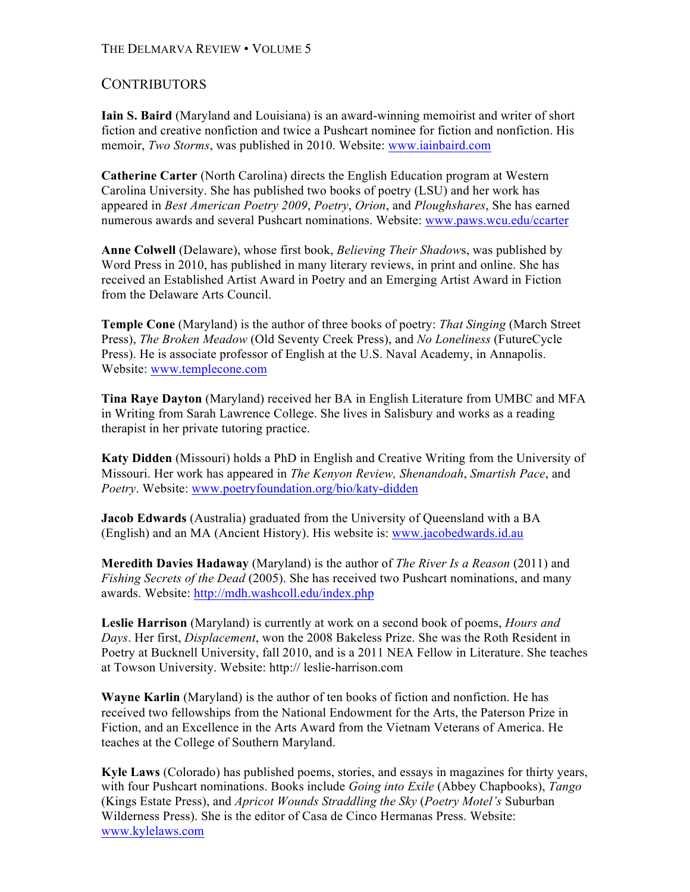## THE DELMARVA REVIEW • VOLUME 5

## **CONTRIBUTORS**

**Iain S. Baird** (Maryland and Louisiana) is an award-winning memoirist and writer of short fiction and creative nonfiction and twice a Pushcart nominee for fiction and nonfiction. His memoir, *Two Storms*, was published in 2010. Website: www.iainbaird.com

**Catherine Carter** (North Carolina) directs the English Education program at Western Carolina University. She has published two books of poetry (LSU) and her work has appeared in *Best American Poetry 2009*, *Poetry*, *Orion*, and *Ploughshares*, She has earned numerous awards and several Pushcart nominations. Website: www.paws.wcu.edu/ccarter

**Anne Colwell** (Delaware), whose first book, *Believing Their Shadow*s, was published by Word Press in 2010, has published in many literary reviews, in print and online. She has received an Established Artist Award in Poetry and an Emerging Artist Award in Fiction from the Delaware Arts Council.

**Temple Cone** (Maryland) is the author of three books of poetry: *That Singing* (March Street Press), *The Broken Meadow* (Old Seventy Creek Press), and *No Loneliness* (FutureCycle Press). He is associate professor of English at the U.S. Naval Academy, in Annapolis. Website: www.templecone.com

**Tina Raye Dayton** (Maryland) received her BA in English Literature from UMBC and MFA in Writing from Sarah Lawrence College. She lives in Salisbury and works as a reading therapist in her private tutoring practice.

**Katy Didden** (Missouri) holds a PhD in English and Creative Writing from the University of Missouri. Her work has appeared in *The Kenyon Review, Shenandoah*, *Smartish Pace*, and *Poetry*. Website: www.poetryfoundation.org/bio/katy-didden

**Jacob Edwards** (Australia) graduated from the University of Queensland with a BA (English) and an MA (Ancient History). His website is: www.jacobedwards.id.au

**Meredith Davies Hadaway** (Maryland) is the author of *The River Is a Reason* (2011) and *Fishing Secrets of the Dead* (2005). She has received two Pushcart nominations, and many awards. Website: http://mdh.washcoll.edu/index.php

**Leslie Harrison** (Maryland) is currently at work on a second book of poems, *Hours and Days*. Her first, *Displacement*, won the 2008 Bakeless Prize. She was the Roth Resident in Poetry at Bucknell University, fall 2010, and is a 2011 NEA Fellow in Literature. She teaches at Towson University. Website: http:// leslie-harrison.com

**Wayne Karlin** (Maryland) is the author of ten books of fiction and nonfiction. He has received two fellowships from the National Endowment for the Arts, the Paterson Prize in Fiction, and an Excellence in the Arts Award from the Vietnam Veterans of America. He teaches at the College of Southern Maryland.

**Kyle Laws** (Colorado) has published poems, stories, and essays in magazines for thirty years, with four Pushcart nominations. Books include *Going into Exile* (Abbey Chapbooks), *Tango*  (Kings Estate Press), and *Apricot Wounds Straddling the Sky* (*Poetry Motel's* Suburban Wilderness Press). She is the editor of Casa de Cinco Hermanas Press. Website: www.kylelaws.com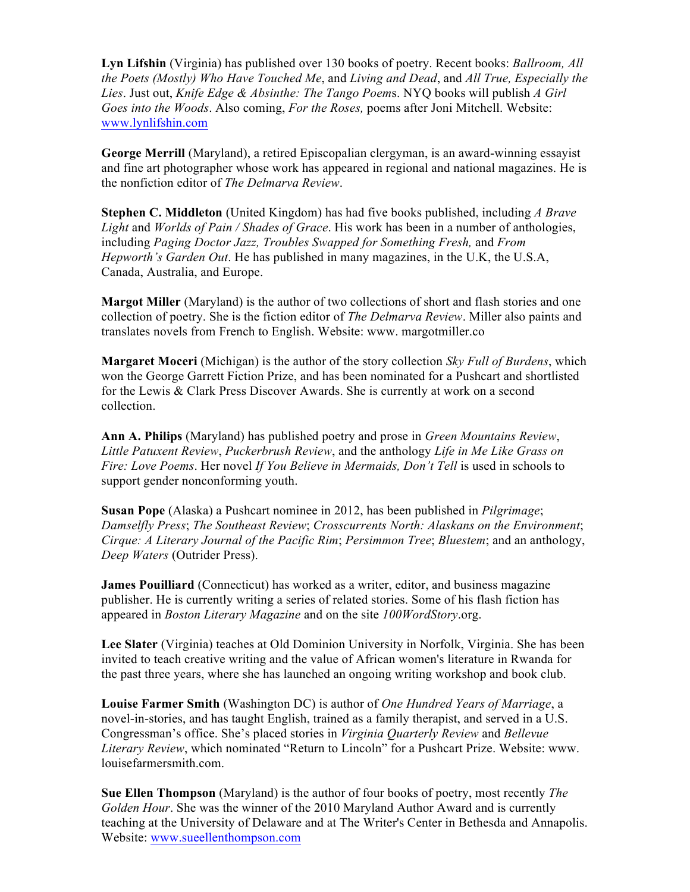**Lyn Lifshin** (Virginia) has published over 130 books of poetry. Recent books: *Ballroom, All the Poets (Mostly) Who Have Touched Me*, and *Living and Dead*, and *All True, Especially the Lies*. Just out, *Knife Edge & Absinthe: The Tango Poem*s. NYQ books will publish *A Girl Goes into the Woods*. Also coming, *For the Roses,* poems after Joni Mitchell. Website: www.lynlifshin.com

**George Merrill** (Maryland), a retired Episcopalian clergyman, is an award-winning essayist and fine art photographer whose work has appeared in regional and national magazines. He is the nonfiction editor of *The Delmarva Review*.

**Stephen C. Middleton** (United Kingdom) has had five books published, including *A Brave Light* and *Worlds of Pain / Shades of Grace*. His work has been in a number of anthologies, including *Paging Doctor Jazz, Troubles Swapped for Something Fresh,* and *From Hepworth's Garden Out*. He has published in many magazines, in the U.K, the U.S.A, Canada, Australia, and Europe.

**Margot Miller** (Maryland) is the author of two collections of short and flash stories and one collection of poetry. She is the fiction editor of *The Delmarva Review*. Miller also paints and translates novels from French to English. Website: www. margotmiller.co

**Margaret Moceri** (Michigan) is the author of the story collection *Sky Full of Burdens*, which won the George Garrett Fiction Prize, and has been nominated for a Pushcart and shortlisted for the Lewis & Clark Press Discover Awards. She is currently at work on a second collection.

**Ann A. Philips** (Maryland) has published poetry and prose in *Green Mountains Review*, *Little Patuxent Review*, *Puckerbrush Review*, and the anthology *Life in Me Like Grass on Fire: Love Poems*. Her novel *If You Believe in Mermaids, Don't Tell* is used in schools to support gender nonconforming youth.

**Susan Pope** (Alaska) a Pushcart nominee in 2012, has been published in *Pilgrimage*; *Damselfly Press*; *The Southeast Review*; *Crosscurrents North: Alaskans on the Environment*; *Cirque: A Literary Journal of the Pacific Rim*; *Persimmon Tree*; *Bluestem*; and an anthology, *Deep Waters* (Outrider Press).

**James Pouilliard** (Connecticut) has worked as a writer, editor, and business magazine publisher. He is currently writing a series of related stories. Some of his flash fiction has appeared in *Boston Literary Magazine* and on the site *100WordStory*.org.

**Lee Slater** (Virginia) teaches at Old Dominion University in Norfolk, Virginia. She has been invited to teach creative writing and the value of African women's literature in Rwanda for the past three years, where she has launched an ongoing writing workshop and book club.

**Louise Farmer Smith** (Washington DC) is author of *One Hundred Years of Marriage*, a novel-in-stories, and has taught English, trained as a family therapist, and served in a U.S. Congressman's office. She's placed stories in *Virginia Quarterly Review* and *Bellevue Literary Review*, which nominated "Return to Lincoln" for a Pushcart Prize. Website: www. louisefarmersmith.com.

**Sue Ellen Thompson** (Maryland) is the author of four books of poetry, most recently *The Golden Hour*. She was the winner of the 2010 Maryland Author Award and is currently teaching at the University of Delaware and at The Writer's Center in Bethesda and Annapolis. Website: www.sueellenthompson.com